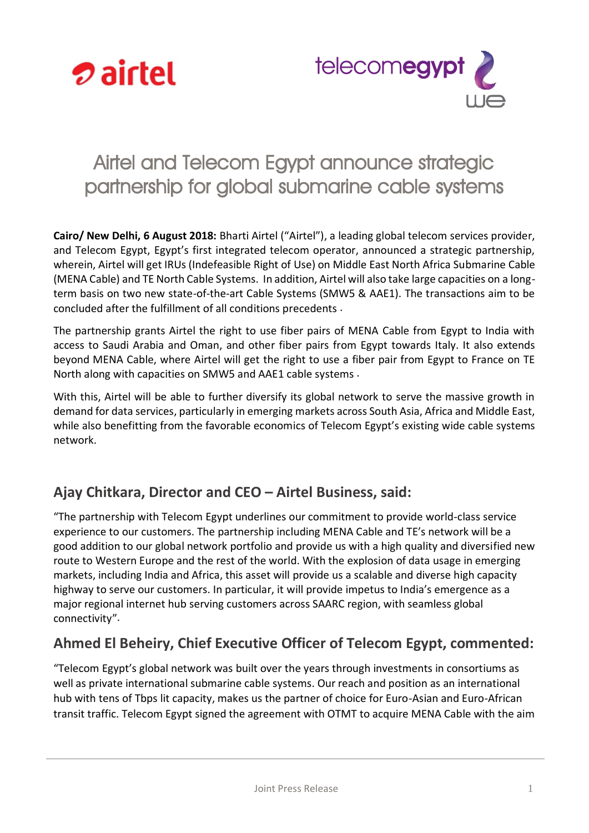



# Airtel and Telecom Egypt announce strategic partnership for global submarine cable systems

**Cairo/ New Delhi, 6 August 2018:** Bharti Airtel ("Airtel"), a leading global telecom services provider, and Telecom Egypt, Egypt's first integrated telecom operator, announced a strategic partnership, wherein, Airtel will get IRUs (Indefeasible Right of Use) on Middle East North Africa Submarine Cable (MENA Cable) and TE North Cable Systems. In addition, Airtel will also take large capacities on a longterm basis on two new state-of-the-art Cable Systems (SMW5 & AAE1). The transactions aim to be concluded after the fulfillment of all conditions precedents .

The partnership grants Airtel the right to use fiber pairs of MENA Cable from Egypt to India with access to Saudi Arabia and Oman, and other fiber pairs from Egypt towards Italy. It also extends beyond MENA Cable, where Airtel will get the right to use a fiber pair from Egypt to France on TE North along with capacities on SMW5 and AAE1 cable systems .

With this, Airtel will be able to further diversify its global network to serve the massive growth in demand for data services, particularly in emerging markets across South Asia, Africa and Middle East, while also benefitting from the favorable economics of Telecom Egypt's existing wide cable systems network.

# **Ajay Chitkara, Director and CEO – Airtel Business, said:**

"The partnership with Telecom Egypt underlines our commitment to provide world-class service experience to our customers. The partnership including MENA Cable and TE's network will be a good addition to our global network portfolio and provide us with a high quality and diversified new route to Western Europe and the rest of the world. With the explosion of data usage in emerging markets, including India and Africa, this asset will provide us a scalable and diverse high capacity highway to serve our customers. In particular, it will provide impetus to India's emergence as a major regional internet hub serving customers across SAARC region, with seamless global connectivity".

# **Ahmed El Beheiry, Chief Executive Officer of Telecom Egypt, commented:**

"Telecom Egypt's global network was built over the years through investments in consortiums as well as private international submarine cable systems. Our reach and position as an international hub with tens of Tbps lit capacity, makes us the partner of choice for Euro-Asian and Euro-African transit traffic. Telecom Egypt signed the agreement with OTMT to acquire MENA Cable with the aim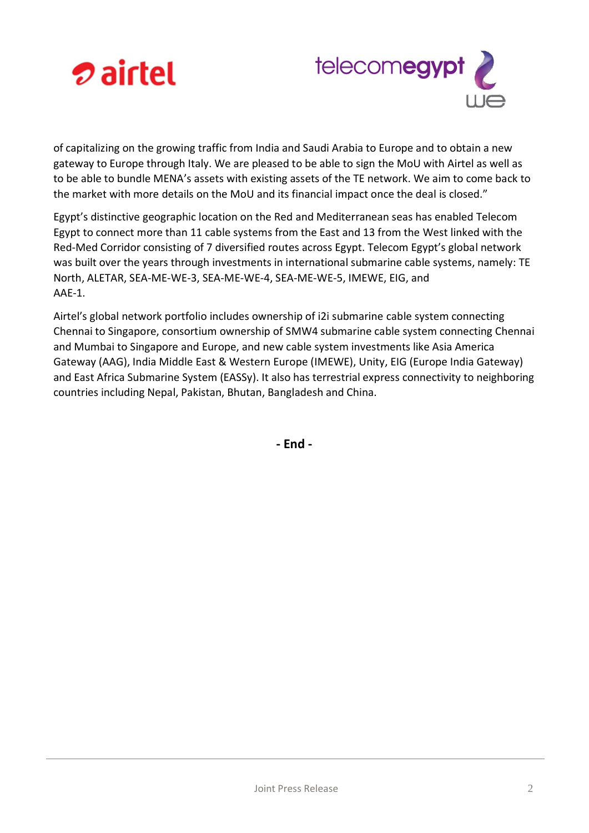



of capitalizing on the growing traffic from India and Saudi Arabia to Europe and to obtain a new gateway to Europe through Italy. We are pleased to be able to sign the MoU with Airtel as well as to be able to bundle MENA's assets with existing assets of the TE network. We aim to come back to the market with more details on the MoU and its financial impact once the deal is closed."

Egypt's distinctive geographic location on the Red and Mediterranean seas has enabled Telecom Egypt to connect more than 11 cable systems from the East and 13 from the West linked with the Red-Med Corridor consisting of 7 diversified routes across Egypt. Telecom Egypt's global network was built over the years through investments in international submarine cable systems, namely: TE North, ALETAR, SEA-ME-WE-3, SEA-ME-WE-4, SEA-ME-WE-5, IMEWE, EIG, and AAE-1.

Airtel's global network portfolio includes ownership of i2i submarine cable system connecting Chennai to Singapore, consortium ownership of SMW4 submarine cable system connecting Chennai and Mumbai to Singapore and Europe, and new cable system investments like Asia America Gateway (AAG), India Middle East & Western Europe (IMEWE), Unity, EIG (Europe India Gateway) and East Africa Submarine System (EASSy). It also has terrestrial express connectivity to neighboring countries including Nepal, Pakistan, Bhutan, Bangladesh and China.

**- End -**